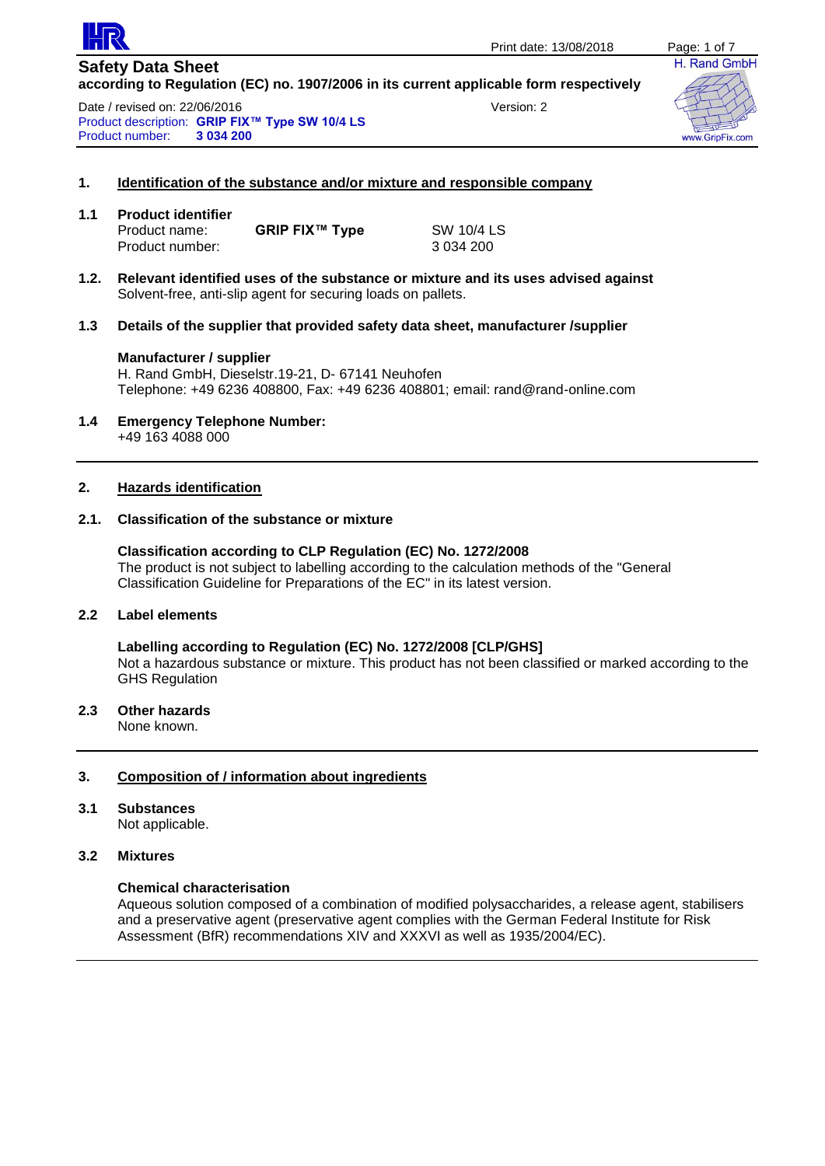

Date / revised on: 22/06/2016 Version: 2 Product description: **GRIP FIX™ Type SW 10/4 LS Product number:** 



#### **1. Identification of the substance and/or mixture and responsible company**

| 1.1 | <b>Product identifier</b> |                       |            |  |  |
|-----|---------------------------|-----------------------|------------|--|--|
|     | Product name:             | <b>GRIP FIX™ Type</b> | SW 10/4 LS |  |  |
|     | Product number:           |                       | 3 034 200  |  |  |

- **1.2. Relevant identified uses of the substance or mixture and its uses advised against** Solvent-free, anti-slip agent for securing loads on pallets.
- **1.3 Details of the supplier that provided safety data sheet, manufacturer /supplier**

#### **Manufacturer / supplier**

H. Rand GmbH, Dieselstr.19-21, D- 67141 Neuhofen Telephone: +49 6236 408800, Fax: +49 6236 408801; email: rand@rand-online.com

**1.4 Emergency Telephone Number:** +49 163 4088 000

#### **2. Hazards identification**

#### **2.1. Classification of the substance or mixture**

**Classification according to CLP Regulation (EC) No. 1272/2008** The product is not subject to labelling according to the calculation methods of the "General Classification Guideline for Preparations of the EC" in its latest version.

# **2.2 Label elements**

**Labelling according to Regulation (EC) No. 1272/2008 [CLP/GHS]** Not a hazardous substance or mixture. This product has not been classified or marked according to the GHS Regulation

### **2.3 Other hazards**

None known.

# **3. Composition of / information about ingredients**

# **3.1 Substances**

Not applicable.

# **3.2 Mixtures**

### **Chemical characterisation**

Aqueous solution composed of a combination of modified polysaccharides, a release agent, stabilisers and a preservative agent (preservative agent complies with the German Federal Institute for Risk Assessment (BfR) recommendations XIV and XXXVI as well as 1935/2004/EC).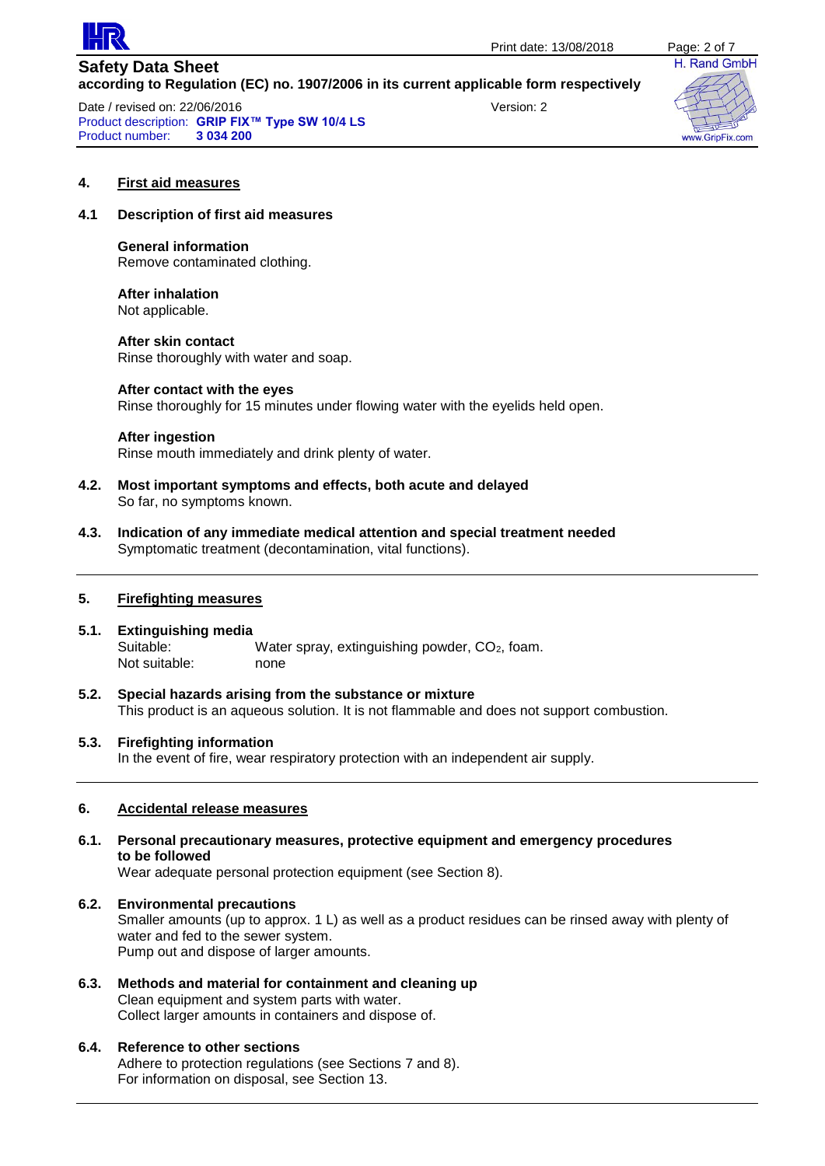

Date / revised on: 22/06/2016 version: 2 Product description: **GRIP FIX™ Type SW 10/4 LS Product number:** 



#### **4. First aid measures**

# **4.1 Description of first aid measures**

**General information** Remove contaminated clothing.

**After inhalation** Not applicable.

**After skin contact** Rinse thoroughly with water and soap.

#### **After contact with the eyes**

Rinse thoroughly for 15 minutes under flowing water with the eyelids held open.

#### **After ingestion**

Rinse mouth immediately and drink plenty of water.

- **4.2. Most important symptoms and effects, both acute and delayed** So far, no symptoms known.
- **4.3. Indication of any immediate medical attention and special treatment needed** Symptomatic treatment (decontamination, vital functions).

#### **5. Firefighting measures**

- **5.1. Extinguishing media** Suitable: Water spray, extinguishing powder, CO<sub>2</sub>, foam. Not suitable: none
- **5.2. Special hazards arising from the substance or mixture** This product is an aqueous solution. It is not flammable and does not support combustion.

#### **5.3. Firefighting information**

In the event of fire, wear respiratory protection with an independent air supply.

# **6. Accidental release measures**

**6.1. Personal precautionary measures, protective equipment and emergency procedures to be followed**

Wear adequate personal protection equipment (see Section 8).

- **6.2. Environmental precautions** Smaller amounts (up to approx. 1 L) as well as a product residues can be rinsed away with plenty of water and fed to the sewer system. Pump out and dispose of larger amounts.
- **6.3. Methods and material for containment and cleaning up** Clean equipment and system parts with water. Collect larger amounts in containers and dispose of.

# **6.4. Reference to other sections**

Adhere to protection regulations (see Sections 7 and 8). For information on disposal, see Section 13.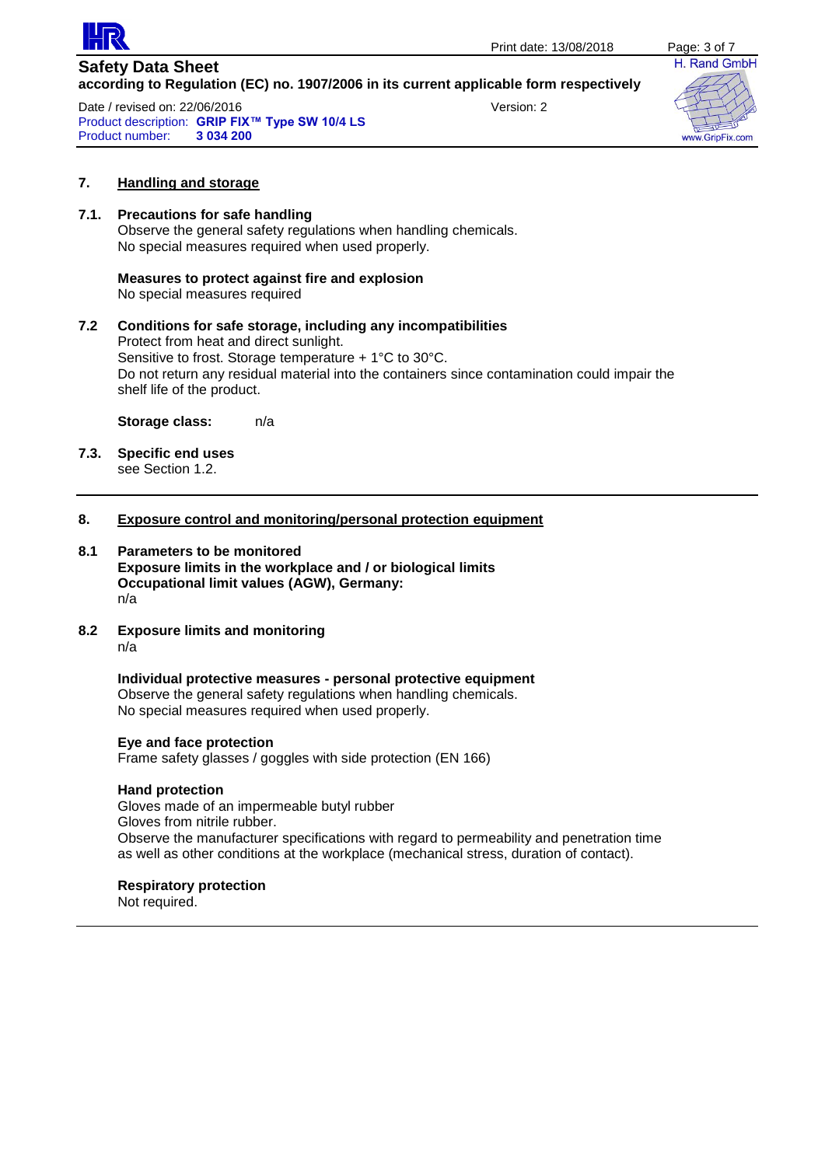

Date / revised on: 22/06/2016 Version: 2 Product description: **GRIP FIX™ Type SW 10/4 LS Product number:** 



# **7. Handling and storage**

# **7.1. Precautions for safe handling**

Observe the general safety regulations when handling chemicals. No special measures required when used properly.

# **Measures to protect against fire and explosion**

No special measures required

### **7.2 Conditions for safe storage, including any incompatibilities** Protect from heat and direct sunlight. Sensitive to frost. Storage temperature + 1°C to 30°C. Do not return any residual material into the containers since contamination could impair the shelf life of the product.

**Storage class:** n/a

**7.3. Specific end uses** see Section 1.2.

# **8. Exposure control and monitoring/personal protection equipment**

**8.1 Parameters to be monitored Exposure limits in the workplace and / or biological limits Occupational limit values (AGW), Germany:** n/a

# **8.2 Exposure limits and monitoring**

n/a

**Individual protective measures - personal protective equipment** Observe the general safety regulations when handling chemicals. No special measures required when used properly.

#### **Eye and face protection**

Frame safety glasses / goggles with side protection (EN 166)

#### **Hand protection**

Gloves made of an impermeable butyl rubber Gloves from nitrile rubber. Observe the manufacturer specifications with regard to permeability and penetration time as well as other conditions at the workplace (mechanical stress, duration of contact).

#### **Respiratory protection**

Not required.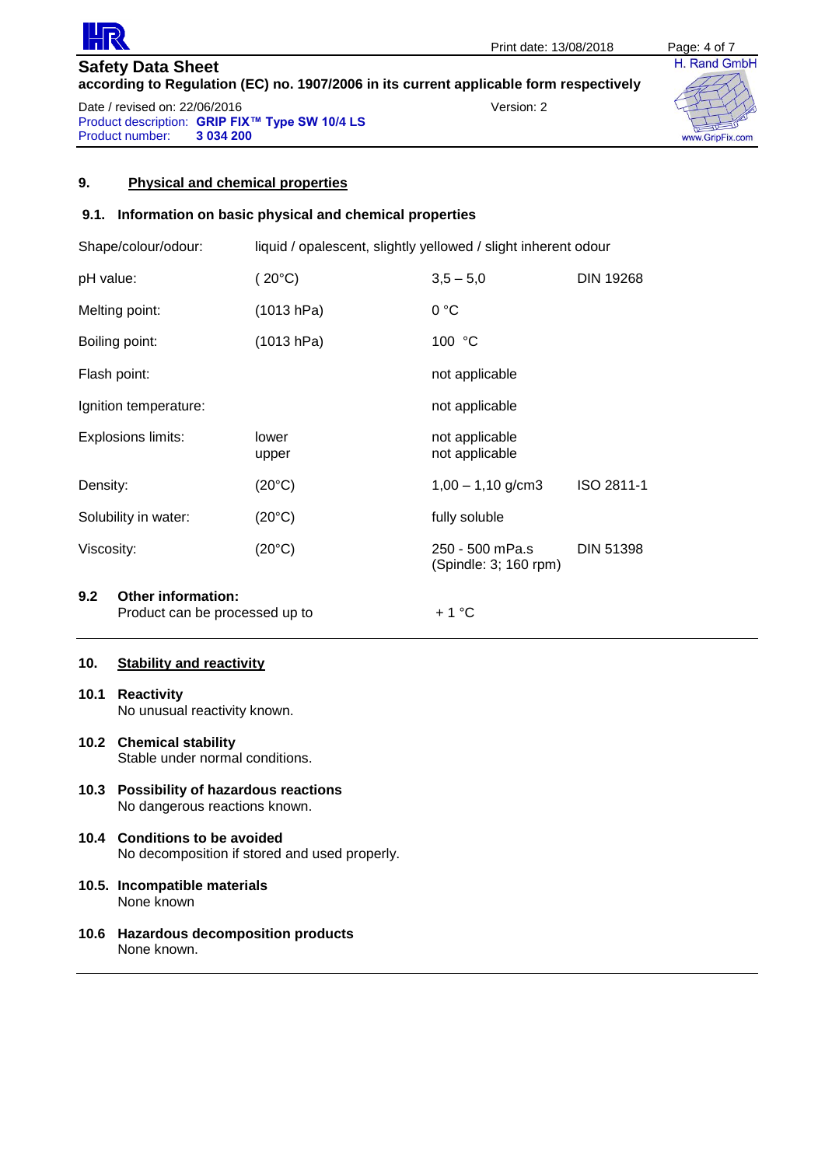

**Safety Data Sheet according to Regulation (EC) no. 1907/2006 in its current applicable form respectively** Date / revised on: 22/06/2016 version: 2

Product description: **GRIP FIX™ Type SW 10/4 LS Product number:** 



# **9. Physical and chemical properties**

# **9.1. Information on basic physical and chemical properties**

| Shape/colour/odour:                                                |                | liquid / opalescent, slightly yellowed / slight inherent odour |                                          |                  |  |
|--------------------------------------------------------------------|----------------|----------------------------------------------------------------|------------------------------------------|------------------|--|
| pH value:                                                          |                | $(20^{\circ}C)$                                                | $3,5 - 5,0$                              | <b>DIN 19268</b> |  |
|                                                                    | Melting point: | (1013 hPa)                                                     | 0 °C                                     |                  |  |
|                                                                    | Boiling point: | (1013 hPa)                                                     | 100 °C                                   |                  |  |
| Flash point:                                                       |                |                                                                | not applicable                           |                  |  |
| Ignition temperature:                                              |                |                                                                | not applicable                           |                  |  |
| Explosions limits:                                                 |                | lower<br>upper                                                 | not applicable<br>not applicable         |                  |  |
| Density:                                                           |                | $(20^{\circ}C)$                                                | $1,00 - 1,10$ g/cm3                      | ISO 2811-1       |  |
| Solubility in water:                                               |                | $(20^{\circ}C)$                                                | fully soluble                            |                  |  |
| Viscosity:                                                         |                | $(20^{\circ}C)$                                                | 250 - 500 mPa.s<br>(Spindle: 3; 160 rpm) | <b>DIN 51398</b> |  |
| <b>Other information:</b><br>9.2<br>Product can be processed up to |                |                                                                | $+1$ °C                                  |                  |  |

# **10. Stability and reactivity**

- **10.1 Reactivity** No unusual reactivity known.
- **10.2 Chemical stability** Stable under normal conditions.
- **10.3 Possibility of hazardous reactions** No dangerous reactions known.
- **10.4 Conditions to be avoided** No decomposition if stored and used properly.
- **10.5. Incompatible materials** None known
- **10.6 Hazardous decomposition products** None known.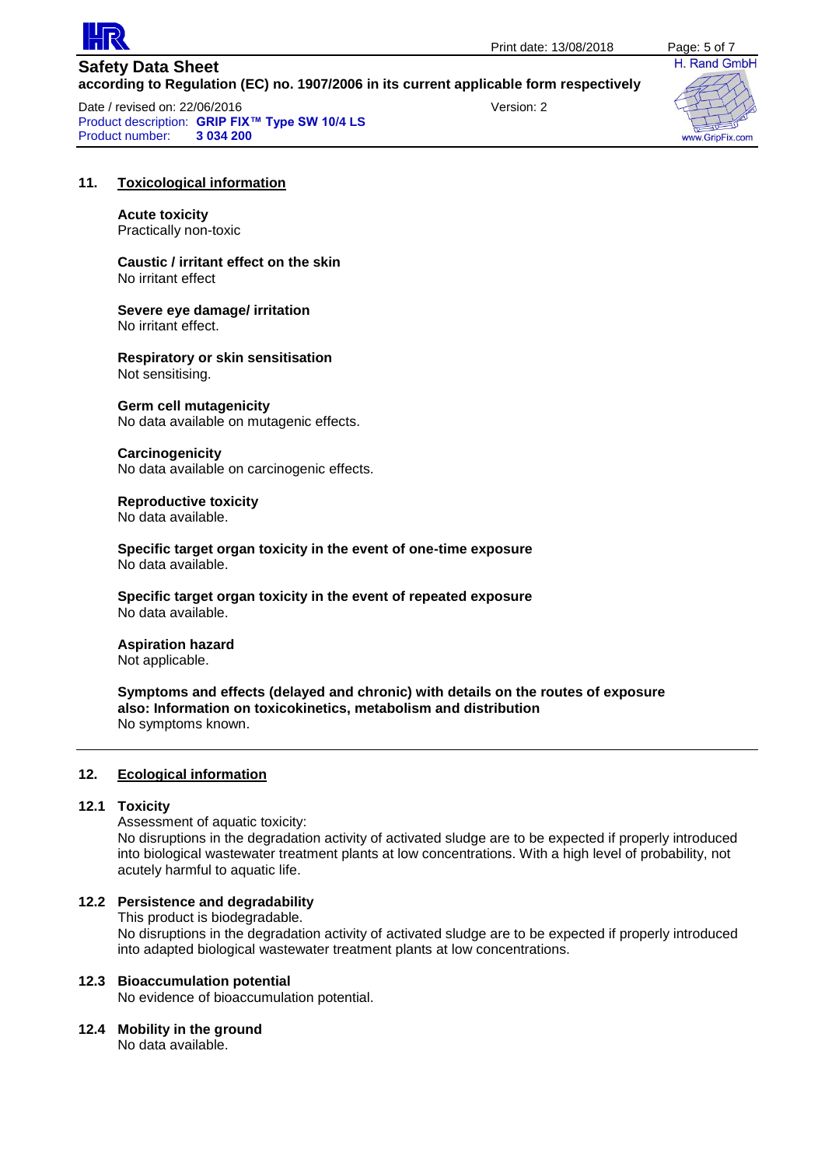

**Safety Data Sheet according to Regulation (EC) no. 1907/2006 in its current applicable form respectively** Date / revised on: 22/06/2016 Version: 2

Product description: **GRIP FIX™ Type SW 10/4 LS Product number:** 



#### **11. Toxicological information**

**Acute toxicity** Practically non-toxic

**Caustic / irritant effect on the skin** No irritant effect

**Severe eye damage/ irritation** No irritant effect.

**Respiratory or skin sensitisation** Not sensitising.

#### **Germ cell mutagenicity**

No data available on mutagenic effects.

#### **Carcinogenicity**

No data available on carcinogenic effects.

#### **Reproductive toxicity**

No data available.

**Specific target organ toxicity in the event of one-time exposure** No data available.

**Specific target organ toxicity in the event of repeated exposure** No data available.

# **Aspiration hazard**

Not applicable.

**Symptoms and effects (delayed and chronic) with details on the routes of exposure also: Information on toxicokinetics, metabolism and distribution** No symptoms known.

#### **12. Ecological information**

#### **12.1 Toxicity**

Assessment of aquatic toxicity:

No disruptions in the degradation activity of activated sludge are to be expected if properly introduced into biological wastewater treatment plants at low concentrations. With a high level of probability, not acutely harmful to aquatic life.

# **12.2 Persistence and degradability**

This product is biodegradable.

No disruptions in the degradation activity of activated sludge are to be expected if properly introduced into adapted biological wastewater treatment plants at low concentrations.

# **12.3 Bioaccumulation potential**

No evidence of bioaccumulation potential.

#### **12.4 Mobility in the ground**

No data available.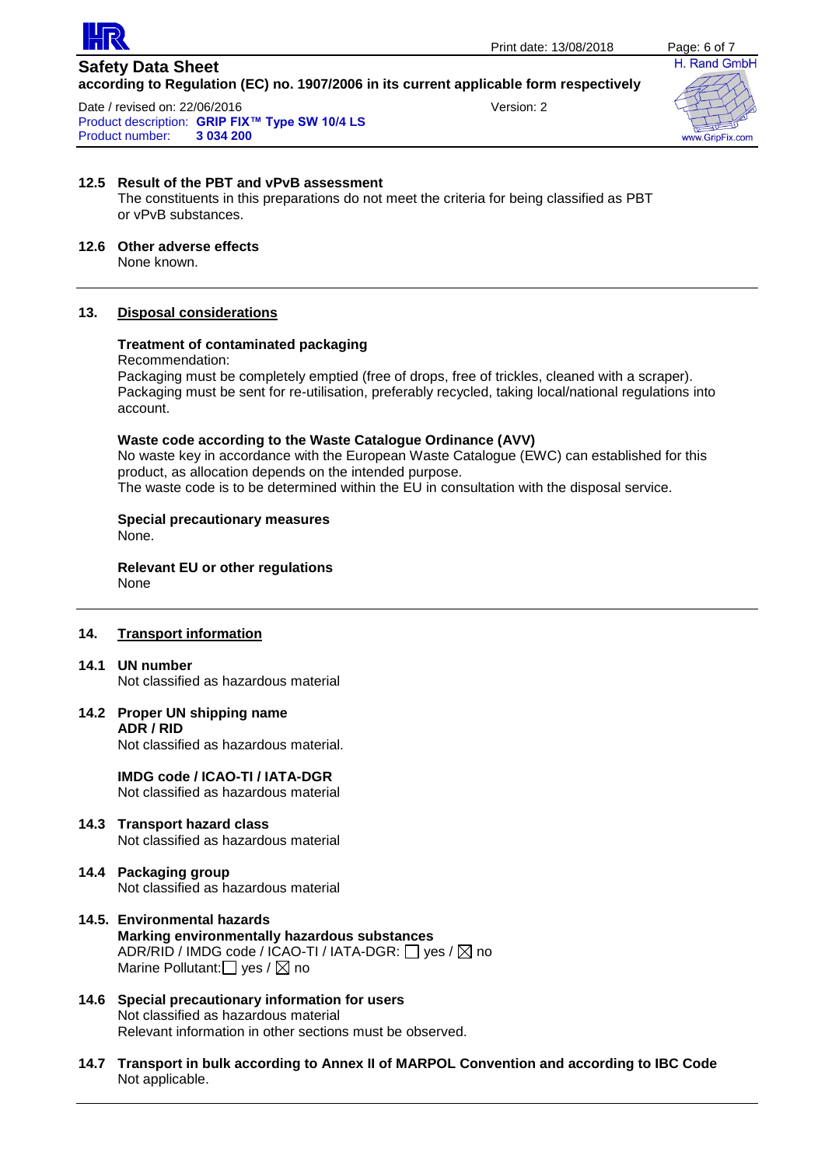

Date / revised on: 22/06/2016 version: 2 Product description: **GRIP FIX™ Type SW 10/4 LS Product number:** 



# **12.5 Result of the PBT and vPvB assessment**

The constituents in this preparations do not meet the criteria for being classified as PBT or vPvB substances.

### **12.6 Other adverse effects**

None known.

# **13. Disposal considerations**

# **Treatment of contaminated packaging**

#### Recommendation:

Packaging must be completely emptied (free of drops, free of trickles, cleaned with a scraper). Packaging must be sent for re-utilisation, preferably recycled, taking local/national regulations into account.

#### **Waste code according to the Waste Catalogue Ordinance (AVV)**

No waste key in accordance with the European Waste Catalogue (EWC) can established for this product, as allocation depends on the intended purpose.

The waste code is to be determined within the EU in consultation with the disposal service.

# **Special precautionary measures**

None.

#### **Relevant EU or other regulations** None

# **14. Transport information**

#### **14.1 UN number**

Not classified as hazardous material

# **14.2 Proper UN shipping name ADR / RID**

Not classified as hazardous material.

**IMDG code / ICAO-TI / IATA-DGR** Not classified as hazardous material

- **14.3 Transport hazard class** Not classified as hazardous material
- **14.4 Packaging group** Not classified as hazardous material
- **14.5. Environmental hazards Marking environmentally hazardous substances** ADR/RID / IMDG code / ICAO-TI / IATA-DGR:  $\Box$  yes /  $\boxtimes$  no Marine Pollutant:  $\Box$  yes /  $\boxtimes$  no
- **14.6 Special precautionary information for users** Not classified as hazardous material Relevant information in other sections must be observed.
- **14.7 Transport in bulk according to Annex II of MARPOL Convention and according to IBC Code** Not applicable.